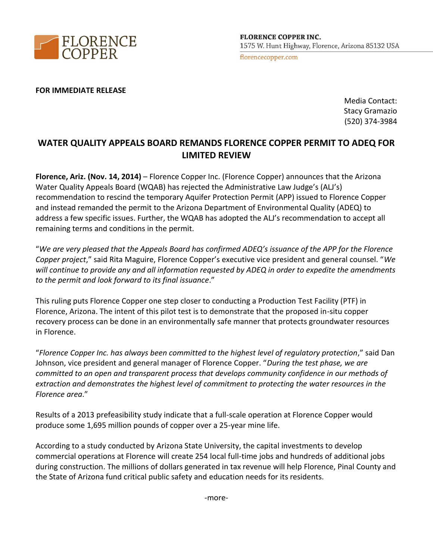

## **FOR IMMEDIATE RELEASE**

Media Contact: Stacy Gramazio (520) 374-3984

## **WATER QUALITY APPEALS BOARD REMANDS FLORENCE COPPER PERMIT TO ADEQ FOR LIMITED REVIEW**

**Florence, Ariz. (Nov. 14, 2014)** – Florence Copper Inc. (Florence Copper) announces that the Arizona Water Quality Appeals Board (WQAB) has rejected the Administrative Law Judge's (ALJ's) recommendation to rescind the temporary Aquifer Protection Permit (APP) issued to Florence Copper and instead remanded the permit to the Arizona Department of Environmental Quality (ADEQ) to address a few specific issues. Further, the WQAB has adopted the ALJ's recommendation to accept all remaining terms and conditions in the permit.

"*We are very pleased that the Appeals Board has confirmed ADEQ's issuance of the APP for the Florence Copper project*," said Rita Maguire, Florence Copper's executive vice president and general counsel. "*We will continue to provide any and all information requested by ADEQ in order to expedite the amendments to the permit and look forward to its final issuance*."

This ruling puts Florence Copper one step closer to conducting a Production Test Facility (PTF) in Florence, Arizona. The intent of this pilot test is to demonstrate that the proposed in-situ copper recovery process can be done in an environmentally safe manner that protects groundwater resources in Florence.

"*Florence Copper Inc. has always been committed to the highest level of regulatory protection*," said Dan Johnson, vice president and general manager of Florence Copper. "*During the test phase, we are committed to an open and transparent process that develops community confidence in our methods of extraction and demonstrates the highest level of commitment to protecting the water resources in the Florence area*."

Results of a 2013 prefeasibility study indicate that a full-scale operation at Florence Copper would produce some 1,695 million pounds of copper over a 25-year mine life.

According to a study conducted by Arizona State University, the capital investments to develop commercial operations at Florence will create 254 local full-time jobs and hundreds of additional jobs during construction. The millions of dollars generated in tax revenue will help Florence, Pinal County and the State of Arizona fund critical public safety and education needs for its residents.